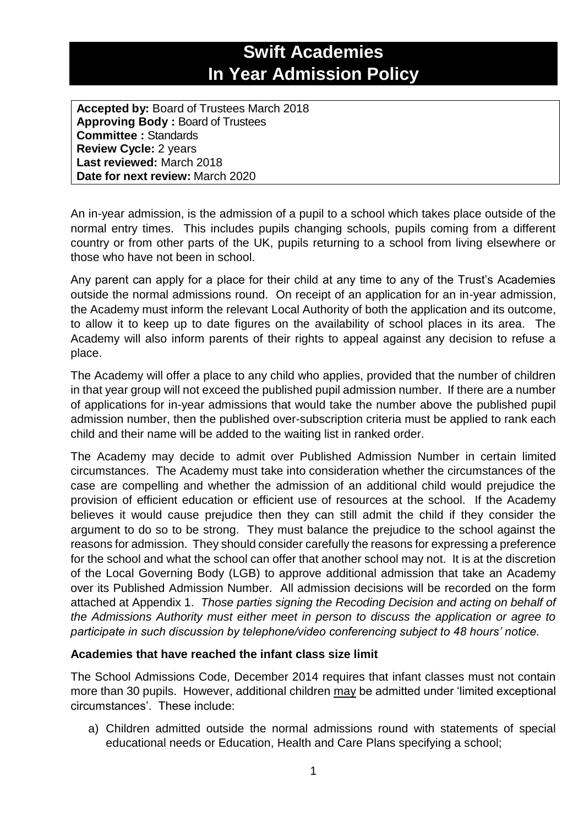## **Swift Academies In Year Admission Policy**

**Accepted by:** Board of Trustees March 2018 **Approving Body :** Board of Trustees **Committee :** Standards **Review Cycle:** 2 years **Last reviewed:** March 2018 **Date for next review:** March 2020

An in-year admission, is the admission of a pupil to a school which takes place outside of the normal entry times. This includes pupils changing schools, pupils coming from a different country or from other parts of the UK, pupils returning to a school from living elsewhere or those who have not been in school.

Any parent can apply for a place for their child at any time to any of the Trust's Academies outside the normal admissions round. On receipt of an application for an in-year admission, the Academy must inform the relevant Local Authority of both the application and its outcome, to allow it to keep up to date figures on the availability of school places in its area. The Academy will also inform parents of their rights to appeal against any decision to refuse a place.

The Academy will offer a place to any child who applies, provided that the number of children in that year group will not exceed the published pupil admission number. If there are a number of applications for in-year admissions that would take the number above the published pupil admission number, then the published over-subscription criteria must be applied to rank each child and their name will be added to the waiting list in ranked order.

The Academy may decide to admit over Published Admission Number in certain limited circumstances. The Academy must take into consideration whether the circumstances of the case are compelling and whether the admission of an additional child would prejudice the provision of efficient education or efficient use of resources at the school. If the Academy believes it would cause prejudice then they can still admit the child if they consider the argument to do so to be strong. They must balance the prejudice to the school against the reasons for admission. They should consider carefully the reasons for expressing a preference for the school and what the school can offer that another school may not. It is at the discretion of the Local Governing Body (LGB) to approve additional admission that take an Academy over its Published Admission Number. All admission decisions will be recorded on the form attached at Appendix 1. *Those parties signing the Recoding Decision and acting on behalf of the Admissions Authority must either meet in person to discuss the application or agree to participate in such discussion by telephone/video conferencing subject to 48 hours' notice.* 

## **Academies that have reached the infant class size limit**

The School Admissions Code, December 2014 requires that infant classes must not contain more than 30 pupils. However, additional children may be admitted under 'limited exceptional circumstances'. These include:

a) Children admitted outside the normal admissions round with statements of special educational needs or Education, Health and Care Plans specifying a school;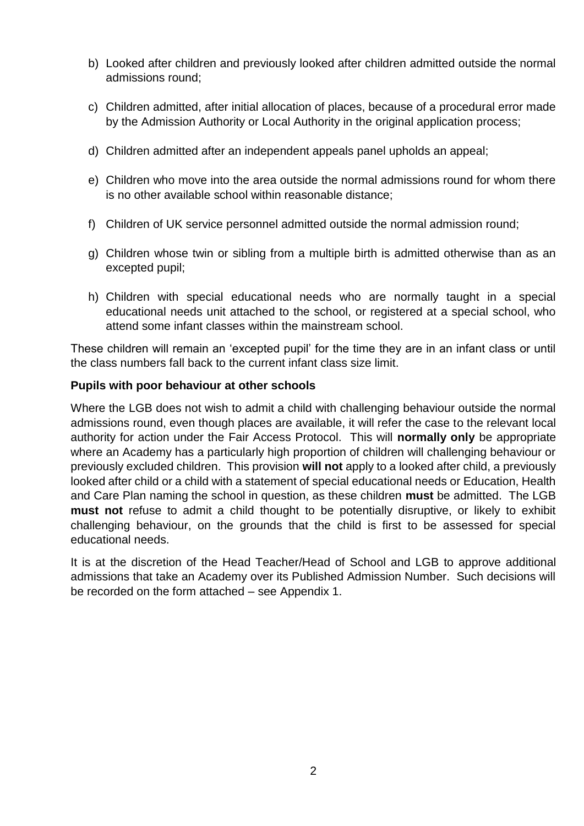- b) Looked after children and previously looked after children admitted outside the normal admissions round;
- c) Children admitted, after initial allocation of places, because of a procedural error made by the Admission Authority or Local Authority in the original application process;
- d) Children admitted after an independent appeals panel upholds an appeal;
- e) Children who move into the area outside the normal admissions round for whom there is no other available school within reasonable distance;
- f) Children of UK service personnel admitted outside the normal admission round;
- g) Children whose twin or sibling from a multiple birth is admitted otherwise than as an excepted pupil;
- h) Children with special educational needs who are normally taught in a special educational needs unit attached to the school, or registered at a special school, who attend some infant classes within the mainstream school.

These children will remain an 'excepted pupil' for the time they are in an infant class or until the class numbers fall back to the current infant class size limit.

## **Pupils with poor behaviour at other schools**

Where the LGB does not wish to admit a child with challenging behaviour outside the normal admissions round, even though places are available, it will refer the case to the relevant local authority for action under the Fair Access Protocol. This will **normally only** be appropriate where an Academy has a particularly high proportion of children will challenging behaviour or previously excluded children. This provision **will not** apply to a looked after child, a previously looked after child or a child with a statement of special educational needs or Education, Health and Care Plan naming the school in question, as these children **must** be admitted. The LGB **must not** refuse to admit a child thought to be potentially disruptive, or likely to exhibit challenging behaviour, on the grounds that the child is first to be assessed for special educational needs.

It is at the discretion of the Head Teacher/Head of School and LGB to approve additional admissions that take an Academy over its Published Admission Number. Such decisions will be recorded on the form attached – see Appendix 1.